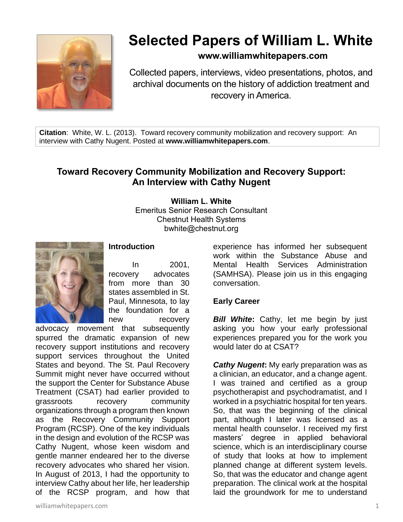

# **Selected Papers of William L. White**

# **www.williamwhitepapers.com**

Collected papers, interviews, video presentations, photos, and archival documents on the history of addiction treatment and recovery in America.

**Citation**: White, W. L. (2013). Toward recovery community mobilization and recovery support: An interview with Cathy Nugent. Posted at **www.williamwhitepapers.com**.

# **Toward Recovery Community Mobilization and Recovery Support: An Interview with Cathy Nugent**

**William L. White** Emeritus Senior Research Consultant Chestnut Health Systems bwhite@chestnut.org



#### **Introduction**

In 2001, recovery advocates from more than 30 states assembled in St. Paul, Minnesota, to lay the foundation for a new recovery

advocacy movement that subsequently spurred the dramatic expansion of new recovery support institutions and recovery support services throughout the United States and beyond. The St. Paul Recovery Summit might never have occurred without the support the Center for Substance Abuse Treatment (CSAT) had earlier provided to grassroots recovery community organizations through a program then known as the Recovery Community Support Program (RCSP). One of the key individuals in the design and evolution of the RCSP was Cathy Nugent, whose keen wisdom and gentle manner endeared her to the diverse recovery advocates who shared her vision. In August of 2013, I had the opportunity to interview Cathy about her life, her leadership of the RCSP program, and how that experience has informed her subsequent work within the Substance Abuse and Mental Health Services Administration (SAMHSA). Please join us in this engaging conversation.

#### **Early Career**

**Bill White:** Cathy, let me begin by just asking you how your early professional experiences prepared you for the work you would later do at CSAT?

*Cathy Nugent***:** My early preparation was as a clinician, an educator, and a change agent. I was trained and certified as a group psychotherapist and psychodramatist, and I worked in a psychiatric hospital for ten years. So, that was the beginning of the clinical part, although I later was licensed as a mental health counselor. I received my first masters' degree in applied behavioral science, which is an interdisciplinary course of study that looks at how to implement planned change at different system levels. So, that was the educator and change agent preparation. The clinical work at the hospital laid the groundwork for me to understand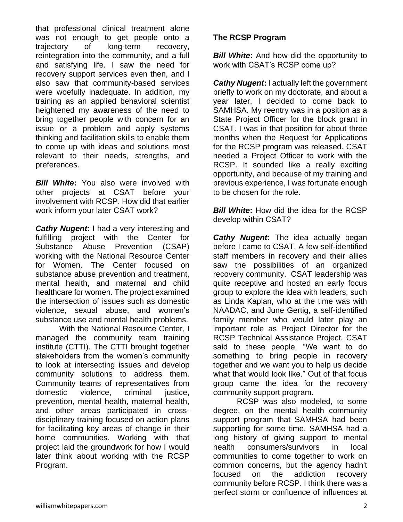that professional clinical treatment alone was not enough to get people onto a trajectory of long-term recovery, reintegration into the community, and a full and satisfying life. I saw the need for recovery support services even then, and I also saw that community-based services were woefully inadequate. In addition, my training as an applied behavioral scientist heightened my awareness of the need to bring together people with concern for an issue or a problem and apply systems thinking and facilitation skills to enable them to come up with ideas and solutions most relevant to their needs, strengths, and preferences.

*Bill White***:** You also were involved with other projects at CSAT before your involvement with RCSP. How did that earlier work inform your later CSAT work?

*Cathy Nugent***:** I had a very interesting and fulfilling project with the Center for Substance Abuse Prevention (CSAP) working with the National Resource Center for Women. The Center focused on substance abuse prevention and treatment, mental health, and maternal and child healthcare for women. The project examined the intersection of issues such as domestic violence, sexual abuse, and women's substance use and mental health problems.

With the National Resource Center, I managed the community team training institute (CTTI). The CTTI brought together stakeholders from the women's community to look at intersecting issues and develop community solutions to address them. Community teams of representatives from domestic violence, criminal justice, prevention, mental health, maternal health, and other areas participated in crossdisciplinary training focused on action plans for facilitating key areas of change in their home communities. Working with that project laid the groundwork for how I would later think about working with the RCSP Program.

# **The RCSP Program**

*Bill White:* And how did the opportunity to work with CSAT's RCSP come up?

*Cathy Nugent***:** I actually left the government briefly to work on my doctorate, and about a year later, I decided to come back to SAMHSA. My reentry was in a position as a State Project Officer for the block grant in CSAT. I was in that position for about three months when the Request for Applications for the RCSP program was released. CSAT needed a Project Officer to work with the RCSP. It sounded like a really exciting opportunity, and because of my training and previous experience, I was fortunate enough to be chosen for the role.

*Bill White***:** How did the idea for the RCSP develop within CSAT?

*Cathy Nugent***:** The idea actually began before I came to CSAT. A few self-identified staff members in recovery and their allies saw the possibilities of an organized recovery community. CSAT leadership was quite receptive and hosted an early focus group to explore the idea with leaders, such as Linda Kaplan, who at the time was with NAADAC, and June Gertig, a self-identified family member who would later play an important role as Project Director for the RCSP Technical Assistance Project. CSAT said to these people, "We want to do something to bring people in recovery together and we want you to help us decide what that would look like." Out of that focus group came the idea for the recovery community support program.

RCSP was also modeled, to some degree, on the mental health community support program that SAMHSA had been supporting for some time. SAMHSA had a long history of giving support to mental health consumers/survivors in local communities to come together to work on common concerns, but the agency hadn't focused on the addiction recovery community before RCSP. I think there was a perfect storm or confluence of influences at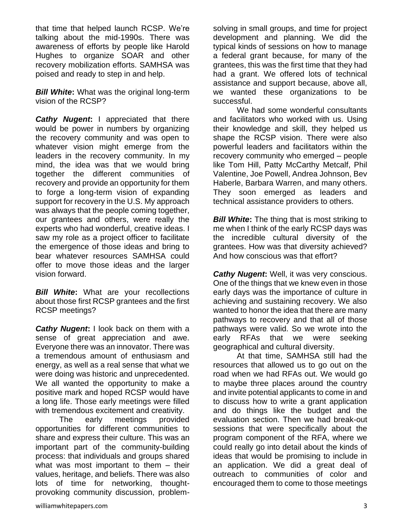that time that helped launch RCSP. We're talking about the mid-1990s. There was awareness of efforts by people like Harold Hughes to organize SOAR and other recovery mobilization efforts. SAMHSA was poised and ready to step in and help.

*Bill White***:** What was the original long-term vision of the RCSP?

*Cathy Nugent***:** I appreciated that there would be power in numbers by organizing the recovery community and was open to whatever vision might emerge from the leaders in the recovery community. In my mind, the idea was that we would bring together the different communities of recovery and provide an opportunity for them to forge a long-term vision of expanding support for recovery in the U.S. My approach was always that the people coming together, our grantees and others, were really the experts who had wonderful, creative ideas. I saw my role as a project officer to facilitate the emergence of those ideas and bring to bear whatever resources SAMHSA could offer to move those ideas and the larger vision forward.

*Bill White***:** What are your recollections about those first RCSP grantees and the first RCSP meetings?

*Cathy Nugent***:** I look back on them with a sense of great appreciation and awe. Everyone there was an innovator. There was a tremendous amount of enthusiasm and energy, as well as a real sense that what we were doing was historic and unprecedented. We all wanted the opportunity to make a positive mark and hoped RCSP would have a long life. Those early meetings were filled with tremendous excitement and creativity.

The early meetings provided opportunities for different communities to share and express their culture. This was an important part of the community-building process: that individuals and groups shared what was most important to them – their values, heritage, and beliefs. There was also lots of time for networking, thoughtprovoking community discussion, problemsolving in small groups, and time for project development and planning. We did the typical kinds of sessions on how to manage a federal grant because, for many of the grantees, this was the first time that they had had a grant. We offered lots of technical assistance and support because, above all, we wanted these organizations to be successful.

We had some wonderful consultants and facilitators who worked with us. Using their knowledge and skill, they helped us shape the RCSP vision. There were also powerful leaders and facilitators within the recovery community who emerged – people like Tom Hill, Patty McCarthy Metcalf, Phil Valentine, Joe Powell, Andrea Johnson, Bev Haberle, Barbara Warren, and many others. They soon emerged as leaders and technical assistance providers to others.

*Bill White*: The thing that is most striking to me when I think of the early RCSP days was the incredible cultural diversity of the grantees. How was that diversity achieved? And how conscious was that effort?

*Cathy Nugent***:** Well, it was very conscious. One of the things that we knew even in those early days was the importance of culture in achieving and sustaining recovery. We also wanted to honor the idea that there are many pathways to recovery and that all of those pathways were valid. So we wrote into the early RFAs that we were seeking geographical and cultural diversity.

At that time, SAMHSA still had the resources that allowed us to go out on the road when we had RFAs out. We would go to maybe three places around the country and invite potential applicants to come in and to discuss how to write a grant application and do things like the budget and the evaluation section. Then we had break-out sessions that were specifically about the program component of the RFA, where we could really go into detail about the kinds of ideas that would be promising to include in an application. We did a great deal of outreach to communities of color and encouraged them to come to those meetings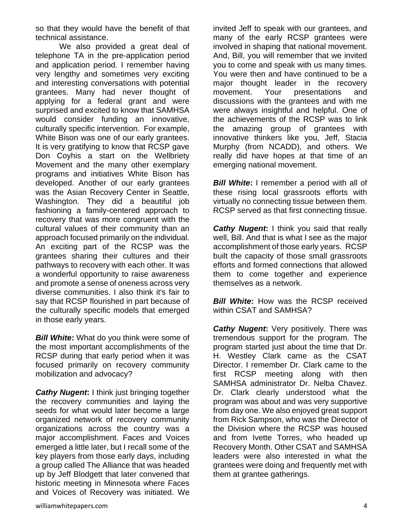so that they would have the benefit of that technical assistance.

We also provided a great deal of telephone TA in the pre-application period and application period. I remember having very lengthy and sometimes very exciting and interesting conversations with potential grantees. Many had never thought of applying for a federal grant and were surprised and excited to know that SAMHSA would consider funding an innovative, culturally specific intervention. For example, White Bison was one of our early grantees. It is very gratifying to know that RCSP gave Don Coyhis a start on the Wellbriety Movement and the many other exemplary programs and initiatives White Bison has developed. Another of our early grantees was the Asian Recovery Center in Seattle, Washington. They did a beautiful job fashioning a family-centered approach to recovery that was more congruent with the cultural values of their community than an approach focused primarily on the individual. An exciting part of the RCSP was the grantees sharing their cultures and their pathways to recovery with each other. It was a wonderful opportunity to raise awareness and promote a sense of oneness across very diverse communities. I also think it's fair to say that RCSP flourished in part because of the culturally specific models that emerged in those early years.

*Bill White***:** What do you think were some of the most important accomplishments of the RCSP during that early period when it was focused primarily on recovery community mobilization and advocacy?

*Cathy Nugent***:** I think just bringing together the recovery communities and laying the seeds for what would later become a large organized network of recovery community organizations across the country was a major accomplishment. Faces and Voices emerged a little later, but I recall some of the key players from those early days, including a group called The Alliance that was headed up by Jeff Blodgett that later convened that historic meeting in Minnesota where Faces and Voices of Recovery was initiated. We

invited Jeff to speak with our grantees, and many of the early RCSP grantees were involved in shaping that national movement. And, Bill, you will remember that we invited you to come and speak with us many times. You were then and have continued to be a major thought leader in the recovery movement. Your presentations and discussions with the grantees and with me were always insightful and helpful. One of the achievements of the RCSP was to link the amazing group of grantees with innovative thinkers like you, Jeff, Stacia Murphy (from NCADD), and others. We really did have hopes at that time of an emerging national movement.

*Bill White***:** I remember a period with all of these rising local grassroots efforts with virtually no connecting tissue between them. RCSP served as that first connecting tissue.

*Cathy Nugent***:** I think you said that really well, Bill. And that is what I see as the major accomplishment of those early years. RCSP built the capacity of those small grassroots efforts and formed connections that allowed them to come together and experience themselves as a network.

*Bill White*: How was the RCSP received within CSAT and SAMHSA?

*Cathy Nugent:* Very positively. There was tremendous support for the program. The program started just about the time that Dr. H. Westley Clark came as the CSAT Director. I remember Dr. Clark came to the first RCSP meeting along with then SAMHSA administrator Dr. Nelba Chavez. Dr. Clark clearly understood what the program was about and was very supportive from day one. We also enjoyed great support from Rick Sampson, who was the Director of the Division where the RCSP was housed and from Ivette Torres, who headed up Recovery Month. Other CSAT and SAMHSA leaders were also interested in what the grantees were doing and frequently met with them at grantee gatherings.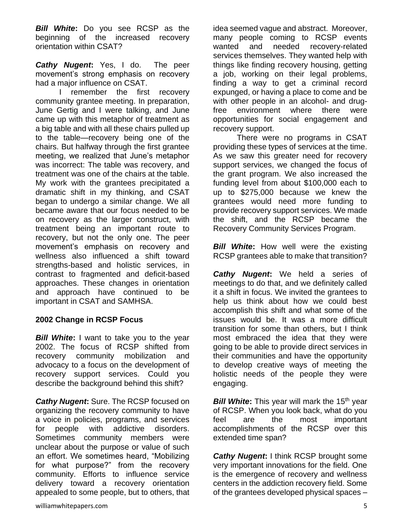*Bill White***:** Do you see RCSP as the beginning of the increased recovery orientation within CSAT?

*Cathy Nugent***:** Yes, I do. The peer movement's strong emphasis on recovery had a major influence on CSAT.

I remember the first recovery community grantee meeting. In preparation, June Gertig and I were talking, and June came up with this metaphor of treatment as a big table and with all these chairs pulled up to the table—recovery being one of the chairs. But halfway through the first grantee meeting, we realized that June's metaphor was incorrect: The table was recovery, and treatment was one of the chairs at the table. My work with the grantees precipitated a dramatic shift in my thinking, and CSAT began to undergo a similar change. We all became aware that our focus needed to be on recovery as the larger construct, with treatment being an important route to recovery, but not the only one. The peer movement's emphasis on recovery and wellness also influenced a shift toward strengths-based and holistic services, in contrast to fragmented and deficit-based approaches. These changes in orientation and approach have continued to be important in CSAT and SAMHSA.

## **2002 Change in RCSP Focus**

*Bill White***:** I want to take you to the year 2002. The focus of RCSP shifted from recovery community mobilization and advocacy to a focus on the development of recovery support services. Could you describe the background behind this shift?

*Cathy Nugent***:** Sure. The RCSP focused on organizing the recovery community to have a voice in policies, programs, and services for people with addictive disorders. Sometimes community members were unclear about the purpose or value of such an effort. We sometimes heard, "Mobilizing for what purpose?" from the recovery community. Efforts to influence service delivery toward a recovery orientation appealed to some people, but to others, that idea seemed vague and abstract. Moreover, many people coming to RCSP events wanted and needed recovery-related services themselves. They wanted help with things like finding recovery housing, getting a job, working on their legal problems, finding a way to get a criminal record expunged, or having a place to come and be with other people in an alcohol- and drugfree environment where there were opportunities for social engagement and recovery support.

There were no programs in CSAT providing these types of services at the time. As we saw this greater need for recovery support services, we changed the focus of the grant program. We also increased the funding level from about \$100,000 each to up to \$275,000 because we knew the grantees would need more funding to provide recovery support services. We made the shift, and the RCSP became the Recovery Community Services Program.

*Bill White*: How well were the existing RCSP grantees able to make that transition?

*Cathy Nugent***:** We held a series of meetings to do that, and we definitely called it a shift in focus. We invited the grantees to help us think about how we could best accomplish this shift and what some of the issues would be. It was a more difficult transition for some than others, but I think most embraced the idea that they were going to be able to provide direct services in their communities and have the opportunity to develop creative ways of meeting the holistic needs of the people they were engaging.

**Bill White:** This year will mark the 15<sup>th</sup> year of RCSP. When you look back, what do you feel are the most important accomplishments of the RCSP over this extended time span?

**Cathy Nugent:** I think RCSP brought some very important innovations for the field. One is the emergence of recovery and wellness centers in the addiction recovery field. Some of the grantees developed physical spaces –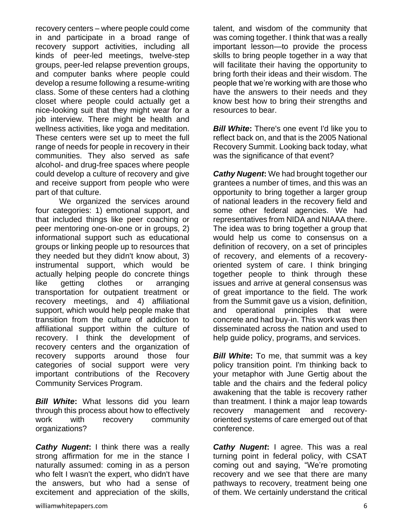recovery centers – where people could come in and participate in a broad range of recovery support activities, including all kinds of peer-led meetings, twelve-step groups, peer-led relapse prevention groups, and computer banks where people could develop a resume following a resume-writing class. Some of these centers had a clothing closet where people could actually get a nice-looking suit that they might wear for a job interview. There might be health and wellness activities, like yoga and meditation. These centers were set up to meet the full range of needs for people in recovery in their communities. They also served as safe alcohol- and drug-free spaces where people could develop a culture of recovery and give and receive support from people who were part of that culture.

We organized the services around four categories: 1) emotional support, and that included things like peer coaching or peer mentoring one-on-one or in groups, 2) informational support such as educational groups or linking people up to resources that they needed but they didn't know about, 3) instrumental support, which would be actually helping people do concrete things like getting clothes or arranging transportation for outpatient treatment or recovery meetings, and 4) affiliational support, which would help people make that transition from the culture of addiction to affiliational support within the culture of recovery. I think the development of recovery centers and the organization of recovery supports around those four categories of social support were very important contributions of the Recovery Community Services Program.

*Bill White***:** What lessons did you learn through this process about how to effectively work with recovery community organizations?

*Cathy Nugent***:** I think there was a really strong affirmation for me in the stance I naturally assumed: coming in as a person who felt I wasn't the expert, who didn't have the answers, but who had a sense of excitement and appreciation of the skills,

talent, and wisdom of the community that was coming together. I think that was a really important lesson—to provide the process skills to bring people together in a way that will facilitate their having the opportunity to bring forth their ideas and their wisdom. The people that we're working with are those who have the answers to their needs and they know best how to bring their strengths and resources to bear.

*Bill White:* There's one event I'd like you to reflect back on, and that is the 2005 National Recovery Summit. Looking back today, what was the significance of that event?

*Cathy Nugent***:** We had brought together our grantees a number of times, and this was an opportunity to bring together a larger group of national leaders in the recovery field and some other federal agencies. We had representatives from NIDA and NIAAA there. The idea was to bring together a group that would help us come to consensus on a definition of recovery, on a set of principles of recovery, and elements of a recoveryoriented system of care. I think bringing together people to think through these issues and arrive at general consensus was of great importance to the field. The work from the Summit gave us a vision, definition, and operational principles that were concrete and had buy-in. This work was then disseminated across the nation and used to help guide policy, programs, and services.

*Bill White***:** To me, that summit was a key policy transition point. I'm thinking back to your metaphor with June Gertig about the table and the chairs and the federal policy awakening that the table is recovery rather than treatment. I think a major leap towards recovery management and recoveryoriented systems of care emerged out of that conference.

*Cathy Nugent***:** I agree. This was a real turning point in federal policy, with CSAT coming out and saying, "We're promoting recovery and we see that there are many pathways to recovery, treatment being one of them. We certainly understand the critical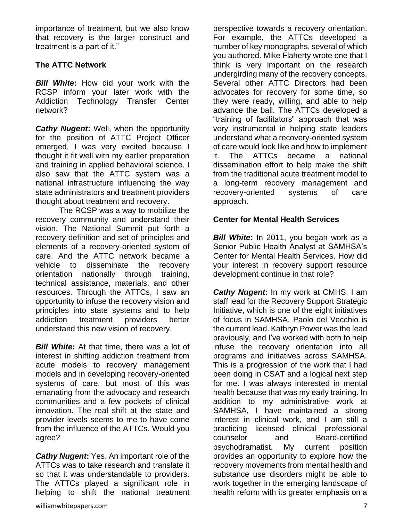importance of treatment, but we also know that recovery is the larger construct and treatment is a part of it."

## **The ATTC Network**

*Bill White***:** How did your work with the RCSP inform your later work with the Addiction Technology Transfer Center network?

*Cathy Nugent:* Well, when the opportunity for the position of ATTC Project Officer emerged, I was very excited because I thought it fit well with my earlier preparation and training in applied behavioral science. I also saw that the ATTC system was a national infrastructure influencing the way state administrators and treatment providers thought about treatment and recovery.

The RCSP was a way to mobilize the recovery community and understand their vision. The National Summit put forth a recovery definition and set of principles and elements of a recovery-oriented system of care. And the ATTC network became a vehicle to disseminate the recovery orientation nationally through training, technical assistance, materials, and other resources. Through the ATTCs, I saw an opportunity to infuse the recovery vision and principles into state systems and to help addiction treatment providers better understand this new vision of recovery.

*Bill White***:** At that time, there was a lot of interest in shifting addiction treatment from acute models to recovery management models and in developing recovery-oriented systems of care, but most of this was emanating from the advocacy and research communities and a few pockets of clinical innovation. The real shift at the state and provider levels seems to me to have come from the influence of the ATTCs. Would you agree?

*Cathy Nugent***:** Yes. An important role of the ATTCs was to take research and translate it so that it was understandable to providers. The ATTCs played a significant role in helping to shift the national treatment

perspective towards a recovery orientation. For example, the ATTCs developed a number of key monographs, several of which you authored. Mike Flaherty wrote one that I think is very important on the research undergirding many of the recovery concepts. Several other ATTC Directors had been advocates for recovery for some time, so they were ready, willing, and able to help advance the ball. The ATTCs developed a "training of facilitators" approach that was very instrumental in helping state leaders understand what a recovery-oriented system of care would look like and how to implement it. The ATTCs became a national dissemination effort to help make the shift from the traditional acute treatment model to a long-term recovery management and recovery-oriented systems of care approach.

#### **Center for Mental Health Services**

*Bill White***:** In 2011, you began work as a Senior Public Health Analyst at SAMHSA's Center for Mental Health Services. How did your interest in recovery support resource development continue in that role?

*Cathy Nugent***:** In my work at CMHS, I am staff lead for the Recovery Support Strategic Initiative, which is one of the eight initiatives of focus in SAMHSA. Paolo del Vecchio is the current lead. Kathryn Power was the lead previously, and I've worked with both to help infuse the recovery orientation into all programs and initiatives across SAMHSA. This is a progression of the work that I had been doing in CSAT and a logical next step for me. I was always interested in mental health because that was my early training. In addition to my administrative work at SAMHSA, I have maintained a strong interest in clinical work, and I am still a practicing licensed clinical professional counselor and Board-certified psychodramatist. My current position provides an opportunity to explore how the recovery movements from mental health and substance use disorders might be able to work together in the emerging landscape of health reform with its greater emphasis on a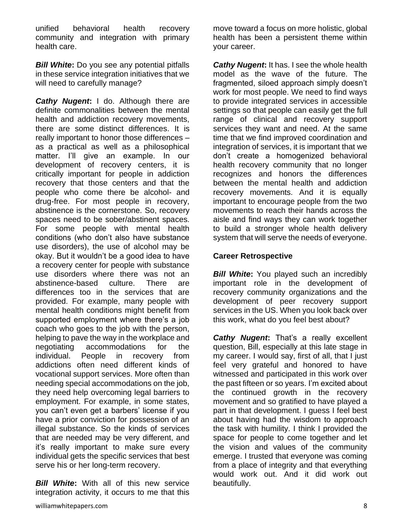unified behavioral health recovery community and integration with primary health care.

*Bill White***:** Do you see any potential pitfalls in these service integration initiatives that we will need to carefully manage?

*Cathy Nugent***:** I do. Although there are definite commonalities between the mental health and addiction recovery movements, there are some distinct differences. It is really important to honor those differences – as a practical as well as a philosophical matter. I'll give an example. In our development of recovery centers, it is critically important for people in addiction recovery that those centers and that the people who come there be alcohol- and drug-free. For most people in recovery, abstinence is the cornerstone. So, recovery spaces need to be sober/abstinent spaces. For some people with mental health conditions (who don't also have substance use disorders), the use of alcohol may be okay. But it wouldn't be a good idea to have a recovery center for people with substance use disorders where there was not an abstinence-based culture. There are differences too in the services that are provided. For example, many people with mental health conditions might benefit from supported employment where there's a job coach who goes to the job with the person, helping to pave the way in the workplace and negotiating accommodations for the individual. People in recovery from addictions often need different kinds of vocational support services. More often than needing special accommodations on the job, they need help overcoming legal barriers to employment. For example, in some states, you can't even get a barbers' license if you have a prior conviction for possession of an illegal substance. So the kinds of services that are needed may be very different, and it's really important to make sure every individual gets the specific services that best serve his or her long-term recovery.

*Bill White***:** With all of this new service integration activity, it occurs to me that this

move toward a focus on more holistic, global health has been a persistent theme within your career.

*Cathy Nugent***:** It has. I see the whole health model as the wave of the future. The fragmented, siloed approach simply doesn't work for most people. We need to find ways to provide integrated services in accessible settings so that people can easily get the full range of clinical and recovery support services they want and need. At the same time that we find improved coordination and integration of services, it is important that we don't create a homogenized behavioral health recovery community that no longer recognizes and honors the differences between the mental health and addiction recovery movements. And it is equally important to encourage people from the two movements to reach their hands across the aisle and find ways they can work together to build a stronger whole health delivery system that will serve the needs of everyone.

#### **Career Retrospective**

**Bill White:** You played such an incredibly important role in the development of recovery community organizations and the development of peer recovery support services in the US. When you look back over this work, what do you feel best about?

*Cathy Nugent***:** That's a really excellent question, Bill, especially at this late stage in my career. I would say, first of all, that I just feel very grateful and honored to have witnessed and participated in this work over the past fifteen or so years. I'm excited about the continued growth in the recovery movement and so gratified to have played a part in that development. I guess I feel best about having had the wisdom to approach the task with humility. I think I provided the space for people to come together and let the vision and values of the community emerge. I trusted that everyone was coming from a place of integrity and that everything would work out. And it did work out beautifully.